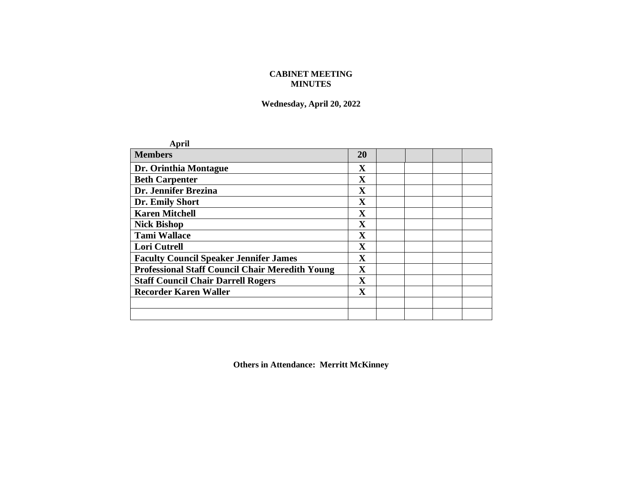## **CABINET MEETING MINUTES**

**Wednesday, April 20, 2022**

| April                                                  |                         |  |  |
|--------------------------------------------------------|-------------------------|--|--|
| <b>Members</b>                                         | <b>20</b>               |  |  |
| Dr. Orinthia Montague                                  | X                       |  |  |
| <b>Beth Carpenter</b>                                  | $\mathbf X$             |  |  |
| Dr. Jennifer Brezina                                   | $\mathbf X$             |  |  |
| Dr. Emily Short                                        | $\mathbf X$             |  |  |
| <b>Karen Mitchell</b>                                  | $\mathbf X$             |  |  |
| <b>Nick Bishop</b>                                     | $\mathbf X$             |  |  |
| <b>Tami Wallace</b>                                    | $\mathbf X$             |  |  |
| Lori Cutrell                                           | $\mathbf X$             |  |  |
| <b>Faculty Council Speaker Jennifer James</b>          | $\overline{\mathbf{X}}$ |  |  |
| <b>Professional Staff Council Chair Meredith Young</b> | $\mathbf X$             |  |  |
| <b>Staff Council Chair Darrell Rogers</b>              | $\mathbf{X}$            |  |  |
| <b>Recorder Karen Waller</b>                           | $\mathbf X$             |  |  |
|                                                        |                         |  |  |
|                                                        |                         |  |  |

**Others in Attendance: Merritt McKinney**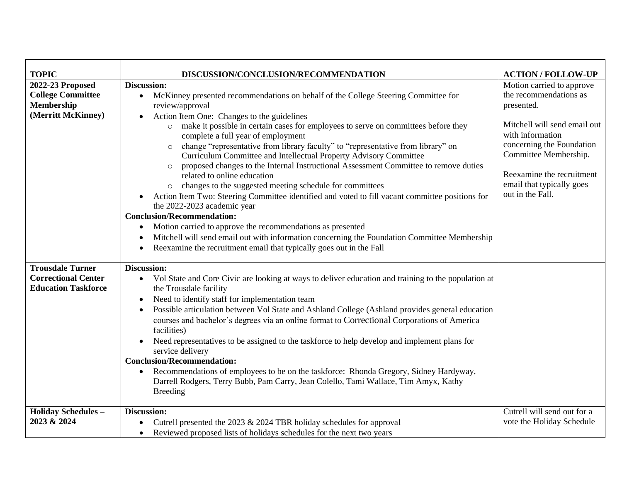| <b>TOPIC</b>                              | DISCUSSION/CONCLUSION/RECOMMENDATION                                                                                           | <b>ACTION/FOLLOW-UP</b>                       |
|-------------------------------------------|--------------------------------------------------------------------------------------------------------------------------------|-----------------------------------------------|
| 2022-23 Proposed                          | <b>Discussion:</b>                                                                                                             | Motion carried to approve                     |
| <b>College Committee</b>                  | McKinney presented recommendations on behalf of the College Steering Committee for<br>$\bullet$                                | the recommendations as                        |
| Membership                                | review/approval                                                                                                                | presented.                                    |
| (Merritt McKinney)                        | Action Item One: Changes to the guidelines<br>$\bullet$                                                                        |                                               |
|                                           | make it possible in certain cases for employees to serve on committees before they                                             | Mitchell will send email out                  |
|                                           | complete a full year of employment                                                                                             | with information                              |
|                                           | change "representative from library faculty" to "representative from library" on<br>$\circ$                                    | concerning the Foundation                     |
|                                           | Curriculum Committee and Intellectual Property Advisory Committee                                                              | Committee Membership.                         |
|                                           | proposed changes to the Internal Instructional Assessment Committee to remove duties                                           | Reexamine the recruitment                     |
|                                           | related to online education                                                                                                    |                                               |
|                                           | changes to the suggested meeting schedule for committees<br>$\circ$                                                            | email that typically goes<br>out in the Fall. |
|                                           | Action Item Two: Steering Committee identified and voted to fill vacant committee positions for<br>the 2022-2023 academic year |                                               |
|                                           | <b>Conclusion/Recommendation:</b>                                                                                              |                                               |
|                                           | Motion carried to approve the recommendations as presented                                                                     |                                               |
|                                           | Mitchell will send email out with information concerning the Foundation Committee Membership                                   |                                               |
|                                           | Reexamine the recruitment email that typically goes out in the Fall                                                            |                                               |
|                                           |                                                                                                                                |                                               |
| <b>Trousdale Turner</b>                   | Discussion:                                                                                                                    |                                               |
| <b>Correctional Center</b>                | Vol State and Core Civic are looking at ways to deliver education and training to the population at<br>$\bullet$               |                                               |
| <b>Education Taskforce</b>                | the Trousdale facility                                                                                                         |                                               |
|                                           | Need to identify staff for implementation team<br>$\bullet$                                                                    |                                               |
|                                           | Possible articulation between Vol State and Ashland College (Ashland provides general education                                |                                               |
|                                           | courses and bachelor's degrees via an online format to Correctional Corporations of America                                    |                                               |
|                                           | facilities)                                                                                                                    |                                               |
|                                           | Need representatives to be assigned to the taskforce to help develop and implement plans for                                   |                                               |
|                                           | service delivery                                                                                                               |                                               |
|                                           | <b>Conclusion/Recommendation:</b>                                                                                              |                                               |
|                                           | Recommendations of employees to be on the taskforce: Rhonda Gregory, Sidney Hardyway,<br>$\bullet$                             |                                               |
|                                           | Darrell Rodgers, Terry Bubb, Pam Carry, Jean Colello, Tami Wallace, Tim Amyx, Kathy                                            |                                               |
|                                           | <b>Breeding</b>                                                                                                                |                                               |
|                                           | Discussion:                                                                                                                    | Cutrell will send out for a                   |
| <b>Holiday Schedules -</b><br>2023 & 2024 |                                                                                                                                | vote the Holiday Schedule                     |
|                                           | Cutrell presented the 2023 $&$ 2024 TBR holiday schedules for approval                                                         |                                               |
|                                           | Reviewed proposed lists of holidays schedules for the next two years                                                           |                                               |